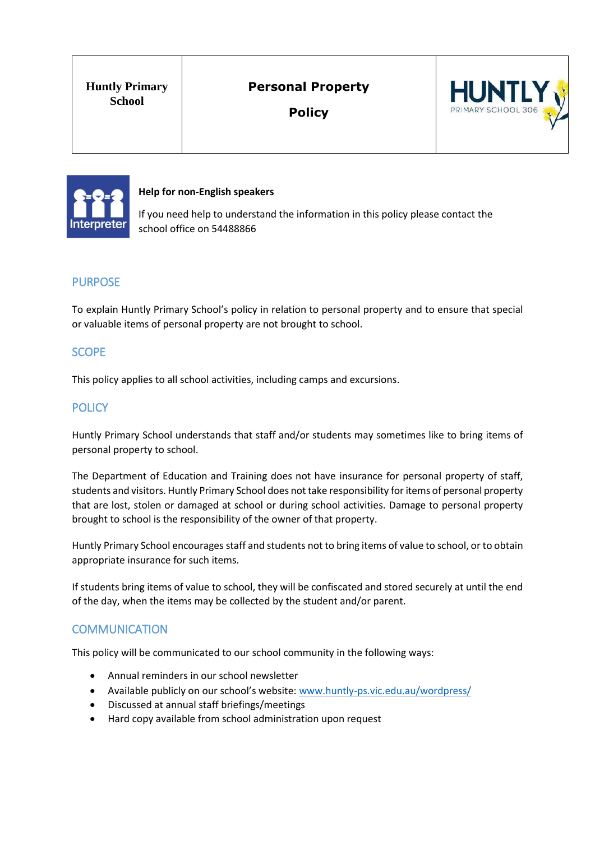# **Personal Property**

**Policy** 





**Help for non-English speakers**

If you need help to understand the information in this policy please contact the school office on 54488866

## PURPOSE

To explain Huntly Primary School's policy in relation to personal property and to ensure that special or valuable items of personal property are not brought to school.

## **SCOPE**

This policy applies to all school activities, including camps and excursions.

#### **POLICY**

Huntly Primary School understands that staff and/or students may sometimes like to bring items of personal property to school.

The Department of Education and Training does not have insurance for personal property of staff, students and visitors. Huntly Primary School does not take responsibility for items of personal property that are lost, stolen or damaged at school or during school activities. Damage to personal property brought to school is the responsibility of the owner of that property.

Huntly Primary School encourages staff and students not to bring items of value to school, or to obtain appropriate insurance for such items.

If students bring items of value to school, they will be confiscated and stored securely at until the end of the day, when the items may be collected by the student and/or parent.

### **COMMUNICATION**

This policy will be communicated to our school community in the following ways:

- Annual reminders in our school newsletter
- Available publicly on our school's website: [www.huntly-ps.vic.edu.au/wordpress/](http://www.huntly-ps.vic.edu.au/wordpress/)
- Discussed at annual staff briefings/meetings
- Hard copy available from school administration upon request